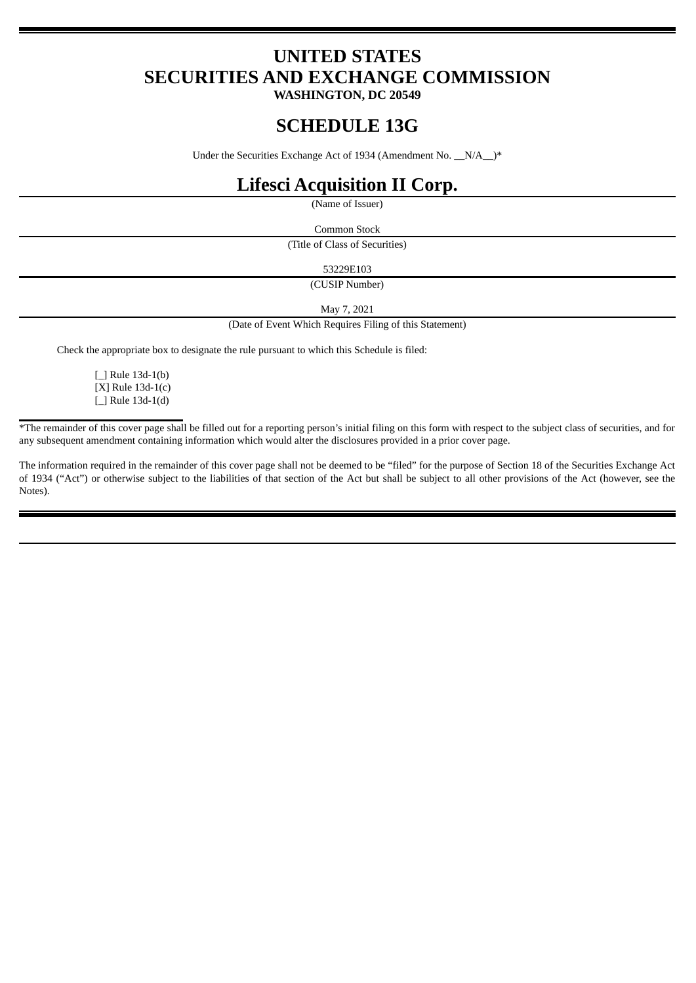# **UNITED STATES SECURITIES AND EXCHANGE COMMISSION**

**WASHINGTON, DC 20549**

## **SCHEDULE 13G**

Under the Securities Exchange Act of 1934 (Amendment No.  $N/A$ <sup>\*</sup>

## **Lifesci Acquisition II Corp.**

(Name of Issuer)

Common Stock

(Title of Class of Securities)

53229E103

(CUSIP Number)

May 7, 2021

(Date of Event Which Requires Filing of this Statement)

Check the appropriate box to designate the rule pursuant to which this Schedule is filed:

[\_] Rule 13d-1(b) [X] Rule 13d-1(c) [\_] Rule 13d-1(d)

\*The remainder of this cover page shall be filled out for a reporting person's initial filing on this form with respect to the subject class of securities, and for any subsequent amendment containing information which would alter the disclosures provided in a prior cover page.

The information required in the remainder of this cover page shall not be deemed to be "filed" for the purpose of Section 18 of the Securities Exchange Act of 1934 ("Act") or otherwise subject to the liabilities of that section of the Act but shall be subject to all other provisions of the Act (however, see the Notes).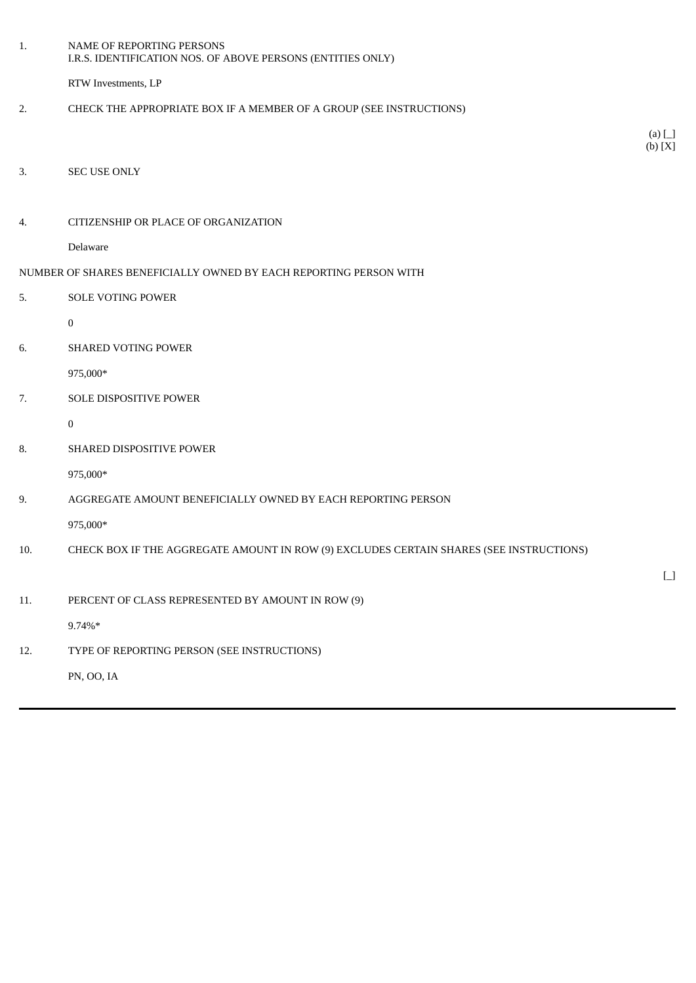| 1.  | NAME OF REPORTING PERSONS<br>I.R.S. IDENTIFICATION NOS. OF ABOVE PERSONS (ENTITIES ONLY) |                       |
|-----|------------------------------------------------------------------------------------------|-----------------------|
|     | RTW Investments, LP                                                                      |                       |
| 2.  | CHECK THE APPROPRIATE BOX IF A MEMBER OF A GROUP (SEE INSTRUCTIONS)                      |                       |
|     |                                                                                          | $(a)$ $\Box$          |
|     |                                                                                          | (b) [X]               |
| 3.  | SEC USE ONLY                                                                             |                       |
| 4.  | CITIZENSHIP OR PLACE OF ORGANIZATION                                                     |                       |
|     | Delaware                                                                                 |                       |
|     | NUMBER OF SHARES BENEFICIALLY OWNED BY EACH REPORTING PERSON WITH                        |                       |
| 5.  | SOLE VOTING POWER                                                                        |                       |
|     | $\pmb{0}$                                                                                |                       |
| 6.  | <b>SHARED VOTING POWER</b>                                                               |                       |
|     | 975,000*                                                                                 |                       |
| 7.  | SOLE DISPOSITIVE POWER                                                                   |                       |
|     | $\bf{0}$                                                                                 |                       |
| 8.  | SHARED DISPOSITIVE POWER                                                                 |                       |
|     | 975,000*                                                                                 |                       |
| 9.  | AGGREGATE AMOUNT BENEFICIALLY OWNED BY EACH REPORTING PERSON                             |                       |
|     | 975,000*                                                                                 |                       |
| 10. | CHECK BOX IF THE AGGREGATE AMOUNT IN ROW (9) EXCLUDES CERTAIN SHARES (SEE INSTRUCTIONS)  |                       |
|     |                                                                                          | $\boxed{\phantom{1}}$ |
| 11. | PERCENT OF CLASS REPRESENTED BY AMOUNT IN ROW (9)                                        |                       |
|     | $9.74\%*$                                                                                |                       |
| 12. | TYPE OF REPORTING PERSON (SEE INSTRUCTIONS)                                              |                       |
|     | PN, OO, IA                                                                               |                       |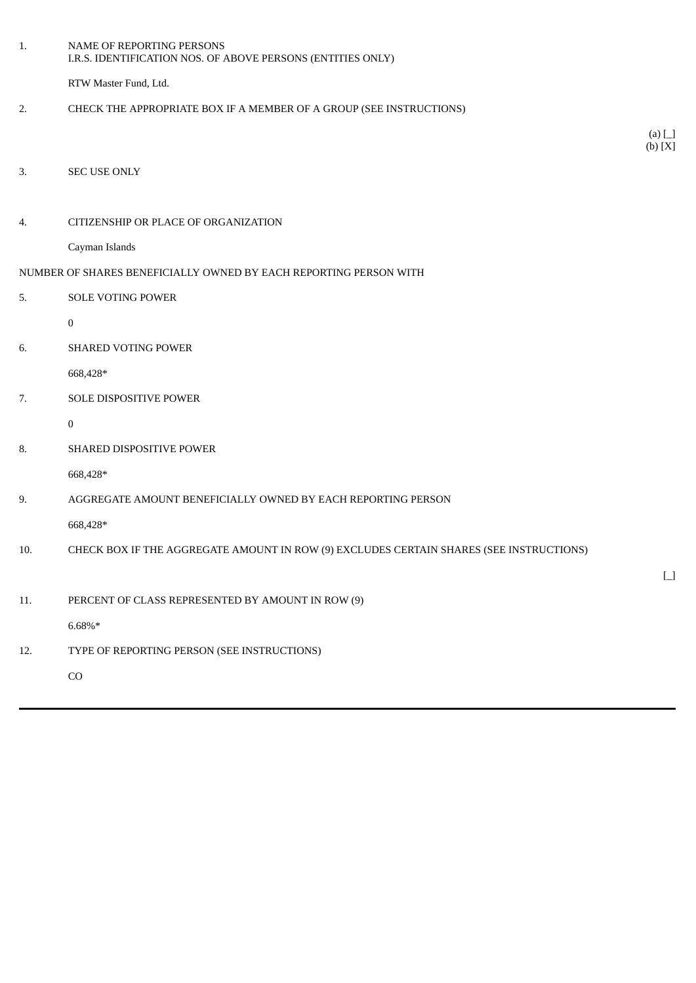| 1.  | NAME OF REPORTING PERSONS<br>I.R.S. IDENTIFICATION NOS. OF ABOVE PERSONS (ENTITIES ONLY) |                                           |
|-----|------------------------------------------------------------------------------------------|-------------------------------------------|
|     | RTW Master Fund, Ltd.                                                                    |                                           |
| 2.  | CHECK THE APPROPRIATE BOX IF A MEMBER OF A GROUP (SEE INSTRUCTIONS)                      |                                           |
|     |                                                                                          | $(a)$ $\Box$                              |
|     |                                                                                          | (b) [X]                                   |
| 3.  | <b>SEC USE ONLY</b>                                                                      |                                           |
| 4.  | CITIZENSHIP OR PLACE OF ORGANIZATION                                                     |                                           |
|     | Cayman Islands                                                                           |                                           |
|     | NUMBER OF SHARES BENEFICIALLY OWNED BY EACH REPORTING PERSON WITH                        |                                           |
| 5.  | <b>SOLE VOTING POWER</b>                                                                 |                                           |
|     | $\boldsymbol{0}$                                                                         |                                           |
| 6.  | <b>SHARED VOTING POWER</b>                                                               |                                           |
|     | 668,428*                                                                                 |                                           |
| 7.  | SOLE DISPOSITIVE POWER                                                                   |                                           |
|     | $\bf{0}$                                                                                 |                                           |
| 8.  | SHARED DISPOSITIVE POWER                                                                 |                                           |
|     | 668,428*                                                                                 |                                           |
| 9.  | AGGREGATE AMOUNT BENEFICIALLY OWNED BY EACH REPORTING PERSON                             |                                           |
|     | 668,428*                                                                                 |                                           |
| 10. | CHECK BOX IF THE AGGREGATE AMOUNT IN ROW (9) EXCLUDES CERTAIN SHARES (SEE INSTRUCTIONS)  |                                           |
|     |                                                                                          | $\begin{bmatrix} \boxed{1} \end{bmatrix}$ |
| 11. | PERCENT OF CLASS REPRESENTED BY AMOUNT IN ROW (9)                                        |                                           |
|     | $6.68\%*$                                                                                |                                           |
| 12. | TYPE OF REPORTING PERSON (SEE INSTRUCTIONS)                                              |                                           |
|     | CO                                                                                       |                                           |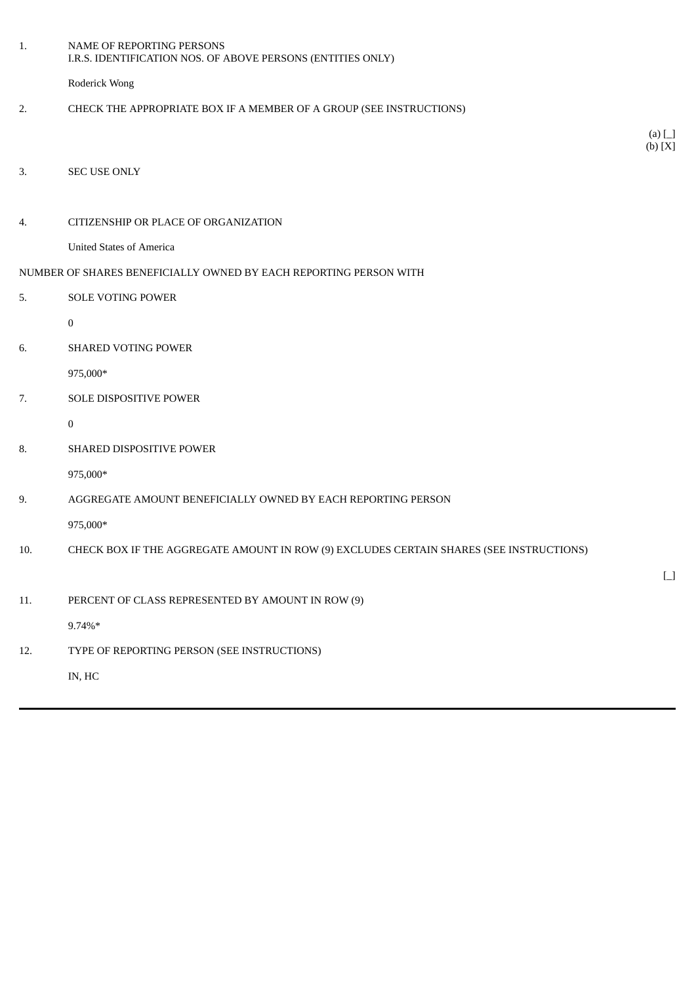| 1.  | NAME OF REPORTING PERSONS<br>I.R.S. IDENTIFICATION NOS. OF ABOVE PERSONS (ENTITIES ONLY) |                                        |
|-----|------------------------------------------------------------------------------------------|----------------------------------------|
|     | Roderick Wong                                                                            |                                        |
| 2.  | CHECK THE APPROPRIATE BOX IF A MEMBER OF A GROUP (SEE INSTRUCTIONS)                      |                                        |
|     |                                                                                          | (a) $\Box$<br>(b) [X]                  |
| 3.  | SEC USE ONLY                                                                             |                                        |
|     |                                                                                          |                                        |
| 4.  | CITIZENSHIP OR PLACE OF ORGANIZATION                                                     |                                        |
|     | <b>United States of America</b>                                                          |                                        |
|     | NUMBER OF SHARES BENEFICIALLY OWNED BY EACH REPORTING PERSON WITH                        |                                        |
| 5.  | SOLE VOTING POWER                                                                        |                                        |
|     | $\pmb{0}$                                                                                |                                        |
| 6.  | <b>SHARED VOTING POWER</b>                                                               |                                        |
|     | 975,000*                                                                                 |                                        |
| 7.  | SOLE DISPOSITIVE POWER                                                                   |                                        |
|     | $\bf{0}$                                                                                 |                                        |
| 8.  | SHARED DISPOSITIVE POWER                                                                 |                                        |
|     | 975,000*                                                                                 |                                        |
| 9.  | AGGREGATE AMOUNT BENEFICIALLY OWNED BY EACH REPORTING PERSON                             |                                        |
|     | 975,000*                                                                                 |                                        |
| 10. | CHECK BOX IF THE AGGREGATE AMOUNT IN ROW (9) EXCLUDES CERTAIN SHARES (SEE INSTRUCTIONS)  |                                        |
|     |                                                                                          | $\begin{bmatrix} 1 \\ 1 \end{bmatrix}$ |
| 11. | PERCENT OF CLASS REPRESENTED BY AMOUNT IN ROW (9)                                        |                                        |
|     | 9.74%*                                                                                   |                                        |
| 12. | TYPE OF REPORTING PERSON (SEE INSTRUCTIONS)                                              |                                        |
|     | IN, HC                                                                                   |                                        |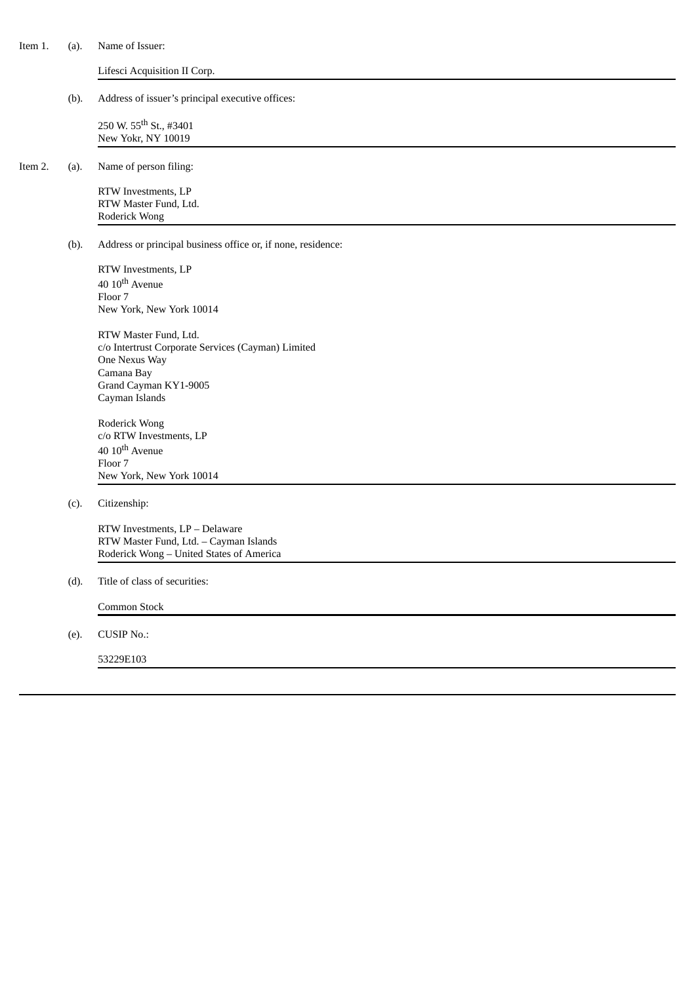| Item 1. | (a). | Name of Issuer:                                                                                                                                       |
|---------|------|-------------------------------------------------------------------------------------------------------------------------------------------------------|
|         |      | Lifesci Acquisition II Corp.                                                                                                                          |
|         | (b). | Address of issuer's principal executive offices:                                                                                                      |
|         |      | 250 W. 55 <sup>th</sup> St., #3401<br>New Yokr, NY 10019                                                                                              |
| Item 2. | (a). | Name of person filing:                                                                                                                                |
|         |      | RTW Investments, LP<br>RTW Master Fund, Ltd.<br>Roderick Wong                                                                                         |
|         | (b). | Address or principal business office or, if none, residence:                                                                                          |
|         |      | RTW Investments, LP<br>40 10 <sup>th</sup> Avenue<br>Floor 7<br>New York, New York 10014                                                              |
|         |      | RTW Master Fund, Ltd.<br>c/o Intertrust Corporate Services (Cayman) Limited<br>One Nexus Way<br>Camana Bay<br>Grand Cayman KY1-9005<br>Cayman Islands |
|         |      | Roderick Wong<br>c/o RTW Investments, LP<br>40 10 <sup>th</sup> Avenue<br>Floor 7<br>New York, New York 10014                                         |
|         | (c). | Citizenship:                                                                                                                                          |
|         |      | RTW Investments, LP - Delaware<br>RTW Master Fund, Ltd. - Cayman Islands<br>Roderick Wong - United States of America                                  |
|         | (d). | Title of class of securities:                                                                                                                         |
|         |      | Common Stock                                                                                                                                          |
|         | (e). | <b>CUSIP No.:</b>                                                                                                                                     |
|         |      | 53229E103                                                                                                                                             |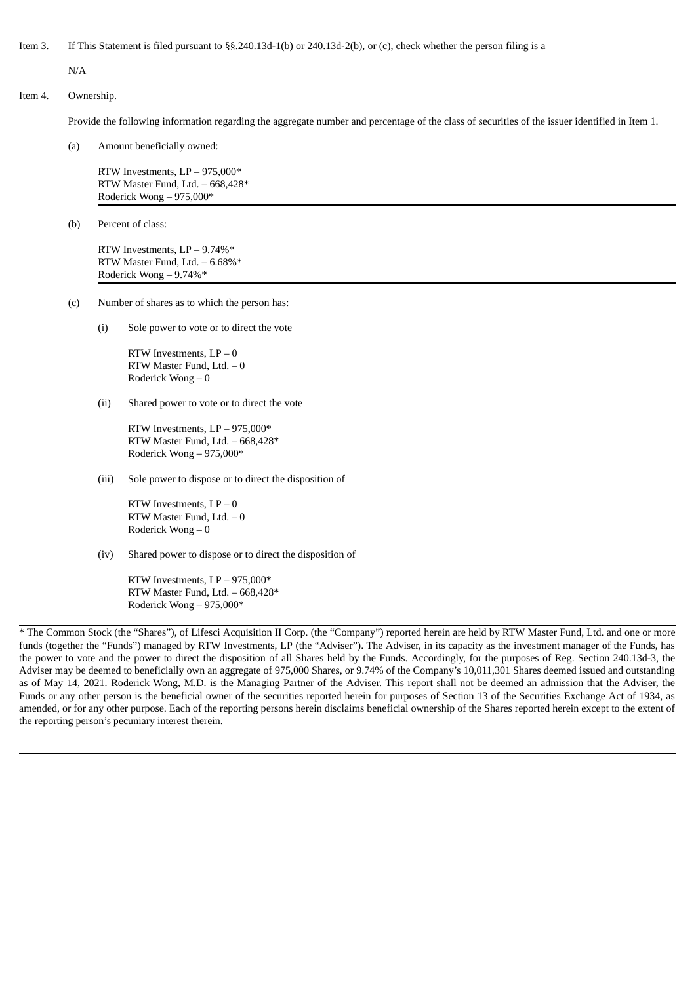Item 3. If This Statement is filed pursuant to §§.240.13d-1(b) or 240.13d-2(b), or (c), check whether the person filing is a

N/A

### Item 4. Ownership.

Provide the following information regarding the aggregate number and percentage of the class of securities of the issuer identified in Item 1.

(a) Amount beneficially owned:

RTW Investments, LP – 975,000\* RTW Master Fund, Ltd. – 668,428\* Roderick Wong – 975,000\*

(b) Percent of class:

RTW Investments, LP – 9.74%\* RTW Master Fund, Ltd. – 6.68%\* Roderick Wong – 9.74%\*

- (c) Number of shares as to which the person has:
	- (i) Sole power to vote or to direct the vote

RTW Investments,  $LP - 0$ RTW Master Fund, Ltd. – 0 Roderick Wong – 0

(ii) Shared power to vote or to direct the vote

RTW Investments, LP – 975,000\* RTW Master Fund, Ltd. – 668,428\* Roderick Wong – 975,000\*

(iii) Sole power to dispose or to direct the disposition of

RTW Investments,  $LP - 0$ RTW Master Fund, Ltd. – 0 Roderick Wong – 0

(iv) Shared power to dispose or to direct the disposition of

RTW Investments, LP – 975,000\* RTW Master Fund, Ltd. – 668,428\* Roderick Wong – 975,000\*

\* The Common Stock (the "Shares"), of Lifesci Acquisition II Corp. (the "Company") reported herein are held by RTW Master Fund, Ltd. and one or more funds (together the "Funds") managed by RTW Investments, LP (the "Adviser"). The Adviser, in its capacity as the investment manager of the Funds, has the power to vote and the power to direct the disposition of all Shares held by the Funds. Accordingly, for the purposes of Reg. Section 240.13d-3, the Adviser may be deemed to beneficially own an aggregate of 975,000 Shares, or 9.74% of the Company's 10,011,301 Shares deemed issued and outstanding as of May 14, 2021. Roderick Wong, M.D. is the Managing Partner of the Adviser. This report shall not be deemed an admission that the Adviser, the Funds or any other person is the beneficial owner of the securities reported herein for purposes of Section 13 of the Securities Exchange Act of 1934, as amended, or for any other purpose. Each of the reporting persons herein disclaims beneficial ownership of the Shares reported herein except to the extent of the reporting person's pecuniary interest therein.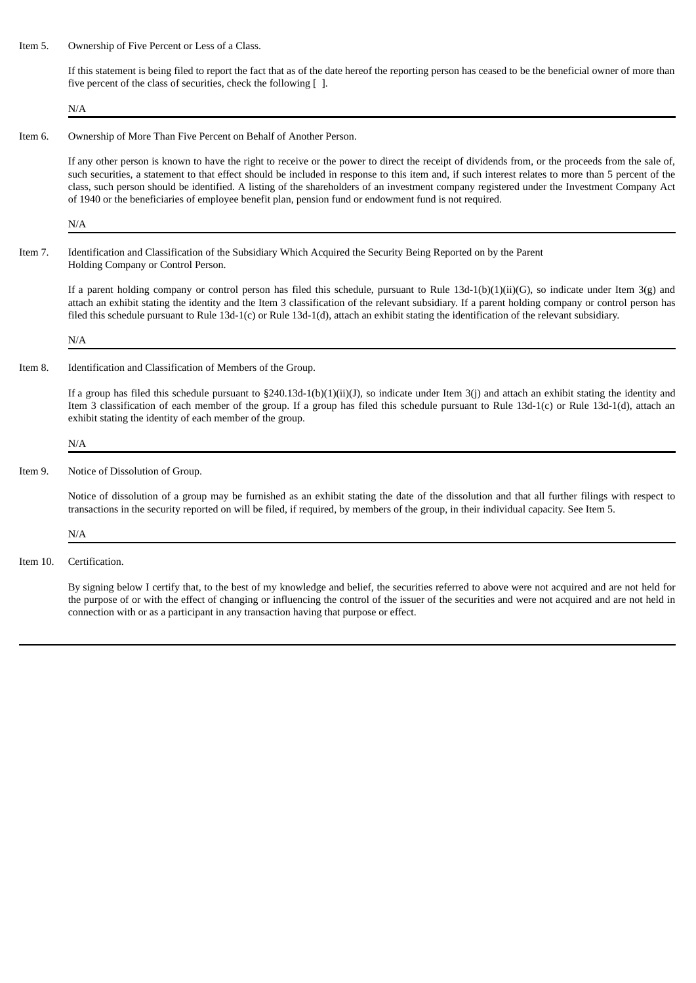Item 5. Ownership of Five Percent or Less of a Class.

If this statement is being filed to report the fact that as of the date hereof the reporting person has ceased to be the beneficial owner of more than five percent of the class of securities, check the following  $[ \ ]$ .

N/A

#### Item 6. Ownership of More Than Five Percent on Behalf of Another Person.

If any other person is known to have the right to receive or the power to direct the receipt of dividends from, or the proceeds from the sale of, such securities, a statement to that effect should be included in response to this item and, if such interest relates to more than 5 percent of the class, such person should be identified. A listing of the shareholders of an investment company registered under the Investment Company Act of 1940 or the beneficiaries of employee benefit plan, pension fund or endowment fund is not required.

N/A

Item 7. Identification and Classification of the Subsidiary Which Acquired the Security Being Reported on by the Parent Holding Company or Control Person.

If a parent holding company or control person has filed this schedule, pursuant to Rule  $13d-1(b)(1)(ii)(G)$ , so indicate under Item  $3(g)$  and attach an exhibit stating the identity and the Item 3 classification of the relevant subsidiary. If a parent holding company or control person has filed this schedule pursuant to Rule 13d-1(c) or Rule 13d-1(d), attach an exhibit stating the identification of the relevant subsidiary.

N/A

Item 8. Identification and Classification of Members of the Group.

If a group has filed this schedule pursuant to §240.13d-1(b)(1)(ii)(J), so indicate under Item 3(j) and attach an exhibit stating the identity and Item 3 classification of each member of the group. If a group has filed this schedule pursuant to Rule 13d-1(c) or Rule 13d-1(d), attach an exhibit stating the identity of each member of the group.

#### N/A

Item 9. Notice of Dissolution of Group.

Notice of dissolution of a group may be furnished as an exhibit stating the date of the dissolution and that all further filings with respect to transactions in the security reported on will be filed, if required, by members of the group, in their individual capacity. See Item 5.

N/A

Item 10. Certification.

By signing below I certify that, to the best of my knowledge and belief, the securities referred to above were not acquired and are not held for the purpose of or with the effect of changing or influencing the control of the issuer of the securities and were not acquired and are not held in connection with or as a participant in any transaction having that purpose or effect.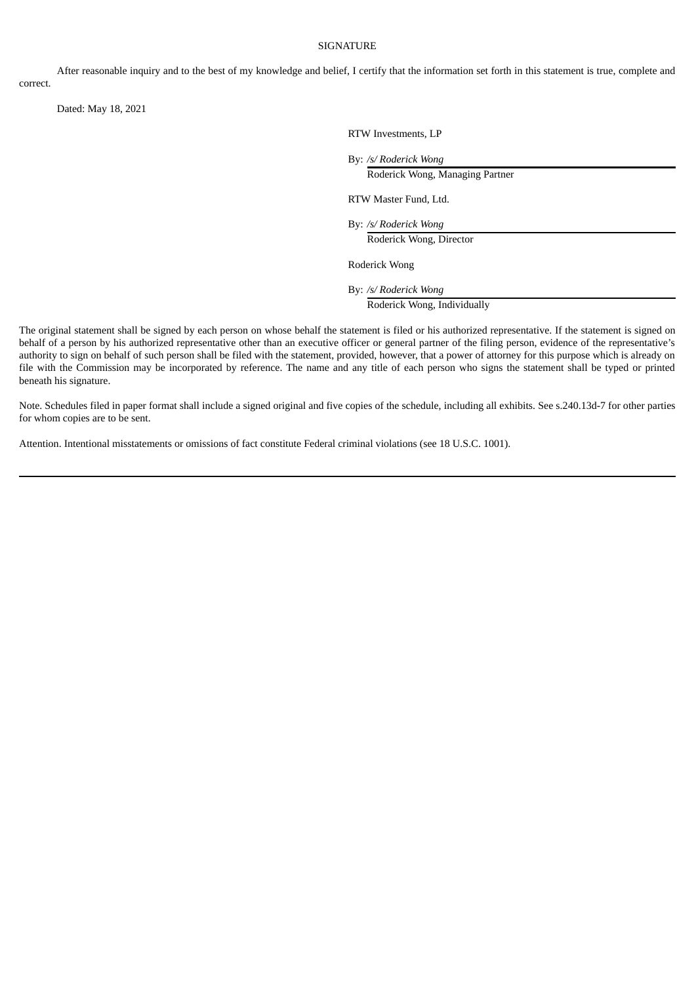#### SIGNATURE

After reasonable inquiry and to the best of my knowledge and belief, I certify that the information set forth in this statement is true, complete and correct.

Dated: May 18, 2021

RTW Investments, LP

By: */s/ Roderick Wong*

Roderick Wong, Managing Partner

RTW Master Fund, Ltd.

By: */s/ Roderick Wong*

Roderick Wong, Director

Roderick Wong

By: */s/ Roderick Wong*

Roderick Wong, Individually

The original statement shall be signed by each person on whose behalf the statement is filed or his authorized representative. If the statement is signed on behalf of a person by his authorized representative other than an executive officer or general partner of the filing person, evidence of the representative's authority to sign on behalf of such person shall be filed with the statement, provided, however, that a power of attorney for this purpose which is already on file with the Commission may be incorporated by reference. The name and any title of each person who signs the statement shall be typed or printed beneath his signature.

Note. Schedules filed in paper format shall include a signed original and five copies of the schedule, including all exhibits. See s.240.13d-7 for other parties for whom copies are to be sent.

Attention. Intentional misstatements or omissions of fact constitute Federal criminal violations (see 18 U.S.C. 1001).